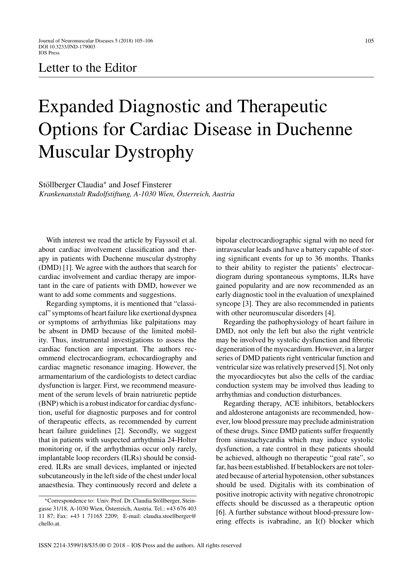## Letter to the Editor

## Expanded Diagnostic and Therapeutic Options for Cardiac Disease in Duchenne Muscular Dystrophy

Stöllberger Claudia<sup>\*</sup> and Josef Finsterer *Krankenanstalt Rudolfstiftung, A-1030 Wien, Osterreich, Austria ¨*

With interest we read the article by Fayssoil et al. about cardiac involvement classification and therapy in patients with Duchenne muscular dystrophy (DMD) [1]. We agree with the authors that search for cardiac involvement and cardiac therapy are important in the care of patients with DMD, however we want to add some comments and suggestions.

Regarding symptoms, it is mentioned that "classical" symptoms of heart failure like exertional dyspnea or symptoms of arrhythmias like palpitations may be absent in DMD because of the limited mobility. Thus, instrumental investigations to assess the cardiac function are important. The authors recommend electrocardiogram, echocardiography and cardiac magnetic resonance imaging. However, the armamentarium of the cardiologists to detect cardiac dysfunction is larger. First, we recommend measurement of the serum levels of brain natriuretic peptide (BNP) which is a robust indicator for cardiac dysfunction, useful for diagnostic purposes and for control of therapeutic effects, as recommended by current heart failure guidelines [2]. Secondly, we suggest that in patients with suspected arrhythmia 24-Holter monitoring or, if the arrhythmias occur only rarely, implantable loop recorders (ILRs) should be considered. ILRs are small devices, implanted or injected subcutaneously in the left side of the chest under local anaesthesia. They continuously record and delete a bipolar electrocardiographic signal with no need for intravascular leads and have a battery capable of storing significant events for up to 36 months. Thanks to their ability to register the patients' electrocardiogram during spontaneous symptoms, ILRs have gained popularity and are now recommended as an early diagnostic tool in the evaluation of unexplained syncope [3]. They are also recommended in patients with other neuromuscular disorders [4].

Regarding the pathophysiology of heart failure in DMD, not only the left but also the right ventricle may be involved by systolic dysfunction and fibrotic degeneration of the myocardium. However, in a larger series of DMD patients right ventricular function and ventricular size was relatively preserved [5]. Not only the myocardiocytes but also the cells of the cardiac conduction system may be involved thus leading to arrhythmias and conduction disturbances.

Regarding therapy, ACE inhibitors, betablockers and aldosterone antagonists are recommended, however, low blood pressure may preclude administration of these drugs. Since DMD patients suffer frequently from sinustachycardia which may induce systolic dysfunction, a rate control in these patients should be achieved, although no therapeutic "goal rate", so far, has been established. If betablockers are not tolerated because of arterial hypotension, other substances should be used. Digitalis with its combination of positive inotropic activity with negative chronotropic effects should be discussed as a therapeutic option [6]. A further substance without blood-pressure lowering effects is ivabradine, an I(f) blocker which

<sup>∗</sup>Correspondence to: Univ. Prof. Dr. Claudia Stollberger, Stein- ¨ gasse 31/18, A-1030 Wien, Österreich, Austria. Tel.: +43 676 403 11 87; Fax: +43 1 71165 2209; E-mail: [claudia.stoellberger@](mailto:claudia.stoellberger@{penalty -@M }chello.at) chello.at.